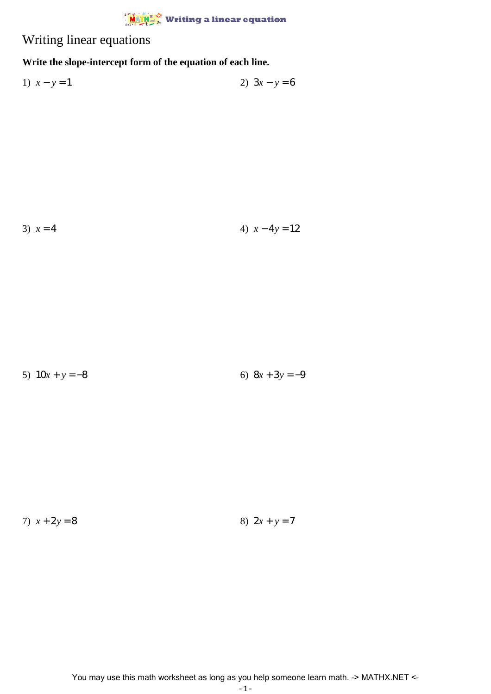## $\frac{M_{\text{A}} + N_{\text{A}} + N_{\text{A}} + N_{\text{A}} + N_{\text{A}} + N_{\text{A}} + N_{\text{A}} + N_{\text{A}} + N_{\text{A}} + N_{\text{A}} + N_{\text{A}} + N_{\text{A}} + N_{\text{A}} + N_{\text{A}} + N_{\text{A}} + N_{\text{A}} + N_{\text{A}} + N_{\text{A}} + N_{\text{A}} + N_{\text{A}} + N_{\text{A}} + N_{\text{A}} + N_{\text{A}} + N_{\text{A}} + N_{\text{A}} + N_{\text{A}} + N_{\text{A}} + N$

## Writing linear equations

## **Write the slope-intercept form of the equation of each line.**

1) 
$$
x - y = 1
$$
  
2)  $3x - y = 6$ 

3)  $x = 4$  4)  $x - 4y = 12$ 

5)  $10x + y = -8$  6)  $8x + 3y = -9$ 

7)  $x + 2y = 8$  8)  $2x + y = 7$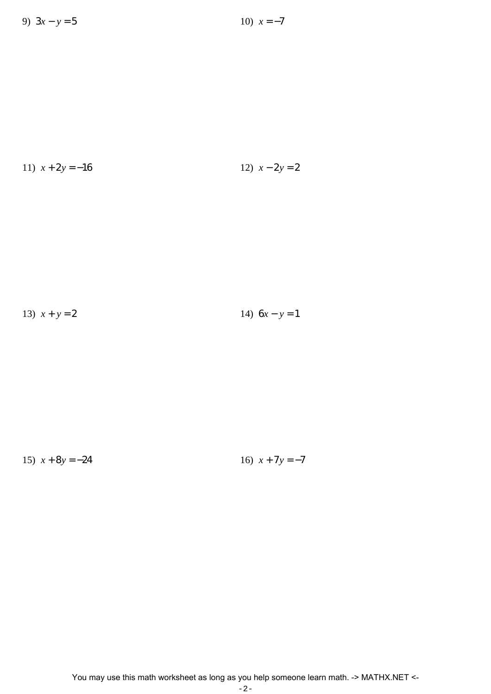11) 
$$
x + 2y = -16
$$
  
12)  $x - 2y = 2$ 

13) 
$$
x + y = 2
$$
  
14)  $6x - y = 1$ 

15)  $x + 8y = -24$  16)  $x + 7y = -7$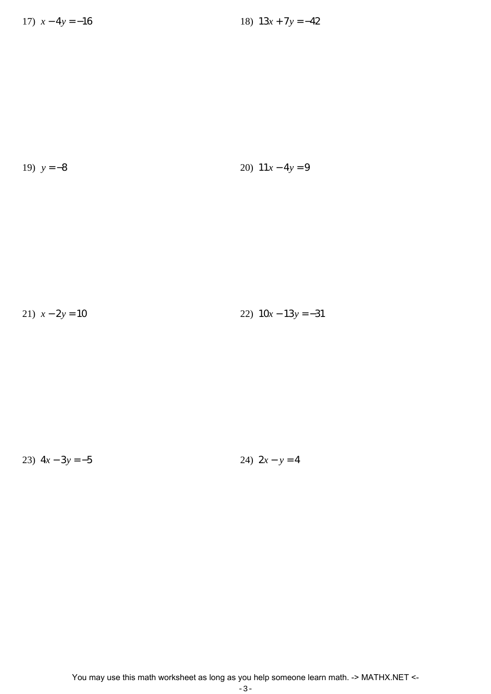19) 
$$
y = -8
$$
 20)  $11x - 4y = 9$ 

$$
21) \ \ x - 2y = 10 \qquad \qquad 22) \ \ 10x - 13y = -31
$$

23)  $4x - 3y = -5$  24)  $2x - y = 4$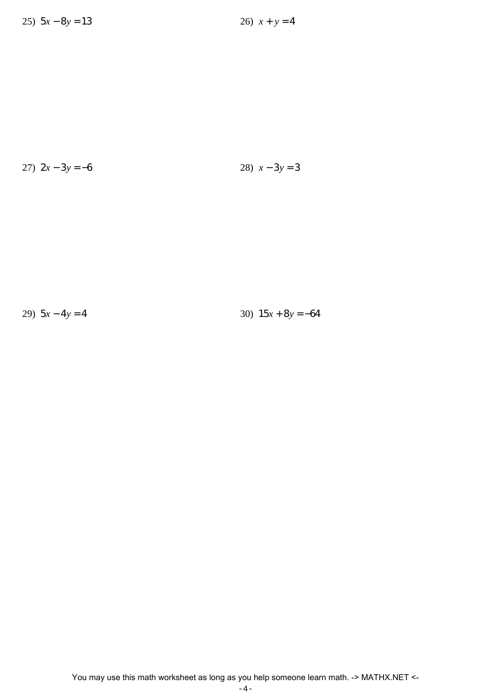$$
27) \ \ 2x - 3y = -6 \tag{28} \ \ x - 3y = 3
$$

29)  $5x - 4y = 4$  30)  $15x + 8y = -64$